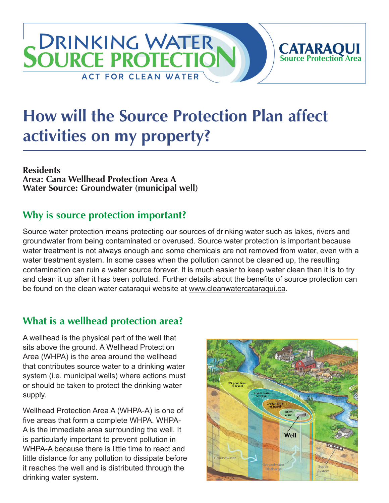# SOURCE PROTECTIO **CATARAQUI**<br>Source Protection Area **ACT FOR CLEAN WATER**

# **How will the Source Protection Plan affect activities on my property?**

**Residents Area: Cana Wellhead Protection Area A Water Source: Groundwater (municipal well)**

## **Why is source protection important?**

Source water protection means protecting our sources of drinking water such as lakes, rivers and groundwater from being contaminated or overused. Source water protection is important because water treatment is not always enough and some chemicals are not removed from water, even with a water treatment system. In some cases when the pollution cannot be cleaned up, the resulting contamination can ruin a water source forever. It is much easier to keep water clean than it is to try and clean it up after it has been polluted. Further details about the benefits of source protection can be found on the clean water cataraqui website at [www.cleanwatercataraqui.ca.](http://www.cleanwatercataraqui.ca)

## **What is a wellhead protection area?**

A wellhead is the physical part of the well that sits above the ground. A Wellhead Protection Area (WHPA) is the area around the wellhead that contributes source water to a drinking water system (i.e. municipal wells) where actions must or should be taken to protect the drinking water supply.

Wellhead Protection Area A (WHPA-A) is one of five areas that form a complete WHPA. WHPA-A is the immediate area surrounding the well. It is particularly important to prevent pollution in WHPA-A because there is little time to react and little distance for any pollution to dissipate before it reaches the well and is distributed through the drinking water system.

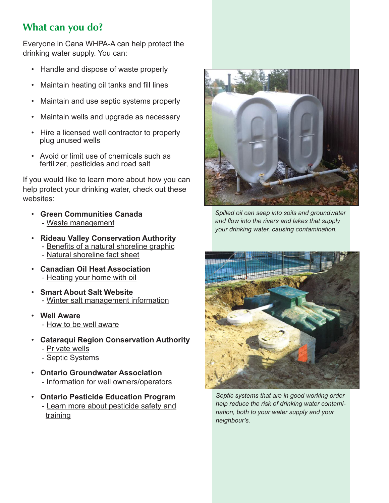# **What can you do?**

Everyone in Cana WHPA-A can help protect the drinking water supply. You can:

- Handle and dispose of waste properly
- Maintain heating oil tanks and fill lines
- Maintain and use septic systems properly
- Maintain wells and upgrade as necessary
- Hire a licensed well contractor to properly plug unused wells
- Avoid or limit use of chemicals such as fertilizer, pesticides and road salt

If you would like to learn more about how you can help protect your drinking water, check out these websites:

- **Green Communities Canada** - [Waste management](http://www.greencommunities.nonprofitwebsites.ca/what-we-work-on/waste/)
- **Rideau Valley Conservation Authority** - [Benefits of a natural shoreline graphic](http://www.crca.ca/wp-content/uploads/PDFs/ShorelineNaturalization-RVCA.pdf) - [Natural shoreline fact sheet](http://www.rvca.ca/programs/shoreline_naturalization_program/PDF/Benefits%20of%20a%20Natural%20Shoreline.pdf)
- **Canadian Oil Heat Association** - [Heating your home with oil](http://www.coha-ontario.ca/)
- **Smart About Salt Website** - [Winter salt management information](http://www.smartaboutsalt.com/)
- **Well Aware** - [How to be well aware](http://www.wellaware.ca/)
- **Cataraqui Region Conservation Authority**
	- - [Private wells](http://www.cleanwatercataraqui.ca/publications/private_wells.pdf)
	- - [Septic Systems](http://www.cleanwatercataraqui.ca/publications/septic_systems.pdf)
- **Ontario Groundwater Association** - [Information for well owners/operators](http://www.ogwa.ca/)
- **Ontario Pesticide Education Program** - [Learn more about pesticide safety and](http://www.opep.ca/)  [training](http://www.opep.ca/)



*Spilled oil can seep into soils and groundwater and flow into the rivers and lakes that supply your drinking water, causing contamination.*



*Septic systems that are in good working order help reduce the risk of drinking water contamination, both to your water supply and your neighbour's.*